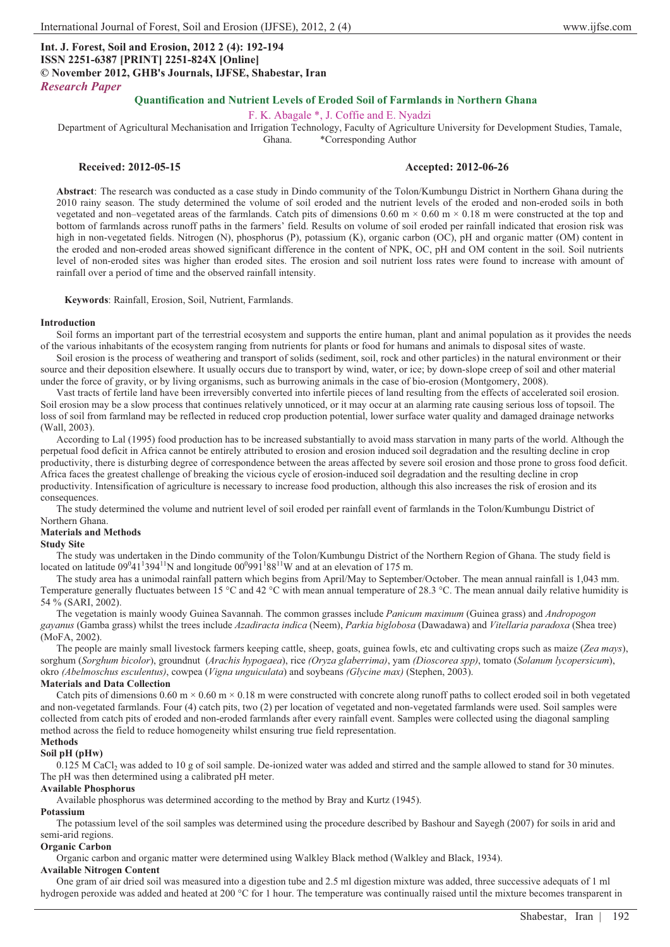# **Int. J. Forest, Soil and Erosion, 2012 2 (4): 192-194 ISSN 2251-6387 [PRINT] 2251-824X [Online] © November 2012, GHB's Journals, IJFSE, Shabestar, Iran** *Research Paper*

# **Quantification and Nutrient Levels of Eroded Soil of Farmlands in Northern Ghana**

#### F. K. Abagale \*, J. Coffie and E. Nyadzi

Department of Agricultural Mechanisation and Irrigation Technology, Faculty of Agriculture University for Development Studies, Tamale,

Ghana. \*Corresponding Author

# **Received: 2012-05-15 Accepted: 2012-06-26**

**Abstract**: The research was conducted as a case study in Dindo community of the Tolon/Kumbungu District in Northern Ghana during the 2010 rainy season. The study determined the volume of soil eroded and the nutrient levels of the eroded and non-eroded soils in both vegetated and non–vegetated areas of the farmlands. Catch pits of dimensions  $0.60 \text{ m} \times 0.60 \text{ m} \times 0.18 \text{ m}$  were constructed at the top and bottom of farmlands across runoff paths in the farmers' field. Results on volume of soil eroded per rainfall indicated that erosion risk was high in non-vegetated fields. Nitrogen (N), phosphorus (P), potassium (K), organic carbon (OC), pH and organic matter (OM) content in the eroded and non-eroded areas showed significant difference in the content of NPK, OC, pH and OM content in the soil. Soil nutrients level of non-eroded sites was higher than eroded sites. The erosion and soil nutrient loss rates were found to increase with amount of rainfall over a period of time and the observed rainfall intensity.

**Keywords**: Rainfall, Erosion, Soil, Nutrient, Farmlands.

#### **Introduction**

Soil forms an important part of the terrestrial ecosystem and supports the entire human, plant and animal population as it provides the needs of the various inhabitants of the ecosystem ranging from nutrients for plants or food for humans and animals to disposal sites of waste.

Soil erosion is the process of weathering and transport of solids (sediment, soil, rock and other particles) in the natural environment or their source and their deposition elsewhere. It usually occurs due to transport by wind, water, or ice; by down-slope creep of soil and other material under the force of gravity, or by living organisms, such as burrowing animals in the case of bio-erosion (Montgomery, 2008).

Vast tracts of fertile land have been irreversibly converted into infertile pieces of land resulting from the effects of accelerated soil erosion. Soil erosion may be a slow process that continues relatively unnoticed, or it may occur at an alarming rate causing serious loss of topsoil. The loss of soil from farmland may be reflected in reduced crop production potential, lower surface water quality and damaged drainage networks (Wall, 2003).

According to Lal (1995) food production has to be increased substantially to avoid mass starvation in many parts of the world. Although the perpetual food deficit in Africa cannot be entirely attributed to erosion and erosion induced soil degradation and the resulting decline in crop productivity, there is disturbing degree of correspondence between the areas affected by severe soil erosion and those prone to gross food deficit. Africa faces the greatest challenge of breaking the vicious cycle of erosion-induced soil degradation and the resulting decline in crop productivity. Intensification of agriculture is necessary to increase food production, although this also increases the risk of erosion and its consequences.

The study determined the volume and nutrient level of soil eroded per rainfall event of farmlands in the Tolon/Kumbungu District of Northern Ghana.

# **Materials and Methods**

# **Study Site**

The study was undertaken in the Dindo community of the Tolon/Kumbungu District of the Northern Region of Ghana. The study field is located on latitude  $09^041^1394^{11}N$  and longitude  $00^0991^188^{11}W$  and at an elevation of 175 m.

The study area has a unimodal rainfall pattern which begins from April/May to September/October. The mean annual rainfall is 1,043 mm. Temperature generally fluctuates between 15 °C and 42 °C with mean annual temperature of 28.3 °C. The mean annual daily relative humidity is 54 % (SARI, 2002).

The vegetation is mainly woody Guinea Savannah. The common grasses include *Panicum maximum* (Guinea grass) and *Andropogon gayanus* (Gamba grass) whilst the trees include *Azadiracta indica* (Neem), *Parkia biglobosa* (Dawadawa) and *Vitellaria paradoxa* (Shea tree) (MoFA, 2002).

The people are mainly small livestock farmers keeping cattle, sheep, goats, guinea fowls, etc and cultivating crops such as maize (*Zea mays*), sorghum (*Sorghum bicolor*), groundnut (*Arachis hypogaea*), rice *(Oryza glaberrima)*, yam *(Dioscorea spp)*, tomato (*Solanum lycopersicum*), okro *(Abelmoschus esculentus)*, cowpea (*Vigna unguiculata*) and soybeans *(Glycine max)* (Stephen, 2003).

#### **Materials and Data Collection**

Catch pits of dimensions  $0.60 \text{ m} \times 0.60 \text{ m} \times 0.18 \text{ m}$  were constructed with concrete along runoff paths to collect eroded soil in both vegetated and non-vegetated farmlands. Four (4) catch pits, two (2) per location of vegetated and non-vegetated farmlands were used. Soil samples were collected from catch pits of eroded and non-eroded farmlands after every rainfall event. Samples were collected using the diagonal sampling method across the field to reduce homogeneity whilst ensuring true field representation.

# **Methods**

## **Soil pH (pHw)**

 $0.125$  M CaCl<sub>2</sub> was added to 10 g of soil sample. De-ionized water was added and stirred and the sample allowed to stand for 30 minutes. The pH was then determined using a calibrated pH meter.

#### **Available Phosphorus**

Available phosphorus was determined according to the method by Bray and Kurtz (1945).

# **Potassium**

The potassium level of the soil samples was determined using the procedure described by Bashour and Sayegh (2007) for soils in arid and semi-arid regions.

#### **Organic Carbon**

Organic carbon and organic matter were determined using Walkley Black method (Walkley and Black, 1934).

# **Available Nitrogen Content**

One gram of air dried soil was measured into a digestion tube and 2.5 ml digestion mixture was added, three successive adequats of 1 ml hydrogen peroxide was added and heated at 200 °C for 1 hour. The temperature was continually raised until the mixture becomes transparent in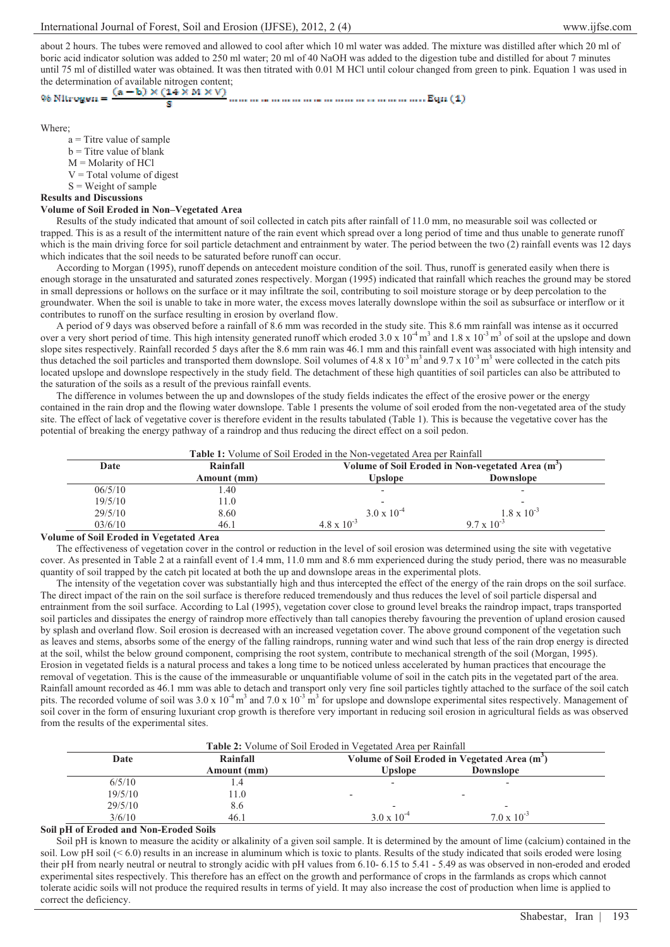about 2 hours. The tubes were removed and allowed to cool after which 10 ml water was added. The mixture was distilled after which 20 ml of boric acid indicator solution was added to 250 ml water; 20 ml of 40 NaOH was added to the digestion tube and distilled for about 7 minutes until 75 ml of distilled water was obtained. It was then titrated with 0.01 M HCl until colour changed from green to pink. Equation 1 was used in the determination of available nitrogen content;<br>  $\%$  NILrogen =  $\frac{(a - b) \times (14 \times M \times V)}{2}$ 

R

Where;

- a = Titre value of sample
- $b$  = Titre value of blank
- $M =$ Molarity of HCl
- $V = Total volume of digest$
- $S = Weight of sample$

# **Results and Discussions**

# **Volume of Soil Eroded in Non–Vegetated Area**

Results of the study indicated that amount of soil collected in catch pits after rainfall of 11.0 mm, no measurable soil was collected or trapped. This is as a result of the intermittent nature of the rain event which spread over a long period of time and thus unable to generate runoff which is the main driving force for soil particle detachment and entrainment by water. The period between the two (2) rainfall events was 12 days which indicates that the soil needs to be saturated before runoff can occur.

According to Morgan (1995), runoff depends on antecedent moisture condition of the soil. Thus, runoff is generated easily when there is enough storage in the unsaturated and saturated zones respectively. Morgan (1995) indicated that rainfall which reaches the ground may be stored in small depressions or hollows on the surface or it may infiltrate the soil, contributing to soil moisture storage or by deep percolation to the groundwater. When the soil is unable to take in more water, the excess moves laterally downslope within the soil as subsurface or interflow or it contributes to runoff on the surface resulting in erosion by overland flow.

A period of 9 days was observed before a rainfall of 8.6 mm was recorded in the study site. This 8.6 mm rainfall was intense as it occurred over a very short period of time. This high intensity generated runoff which eroded  $3.0 \times 10^{-4}$  m<sup>3</sup> and  $1.8 \times 10^{-3}$  m<sup>3</sup> of soil at the upslope and down slope sites respectively. Rainfall recorded 5 days after the 8.6 mm rain was 46.1 mm and this rainfall event was associated with high intensity and thus detached the soil particles and transported them downslope. Soil volumes of 4.8 x  $10^{-3}$  m<sup>3</sup> and 9.7 x  $10^{-3}$  m<sup>3</sup> were collected in the catch pits located upslope and downslope respectively in the study field. The detachment of these high quantities of soil particles can also be attributed to the saturation of the soils as a result of the previous rainfall events.

The difference in volumes between the up and downslopes of the study fields indicates the effect of the erosive power or the energy contained in the rain drop and the flowing water downslope. Table 1 presents the volume of soil eroded from the non-vegetated area of the study site. The effect of lack of vegetative cover is therefore evident in the results tabulated (Table 1). This is because the vegetative cover has the potential of breaking the energy pathway of a raindrop and thus reducing the direct effect on a soil pedon.

| Date    | Rainfall    | Volume of Soil Eroded in Non-vegetated Area (m <sup>3</sup> ) |                      |  |
|---------|-------------|---------------------------------------------------------------|----------------------|--|
|         | Amount (mm) | Upslope                                                       | <b>Downslope</b>     |  |
| 06/5/10 | l.40        |                                                               |                      |  |
| 19/5/10 | 11.0        |                                                               |                      |  |
| 29/5/10 | 8.60        | $3.0 \times 10^{-4}$                                          | $1.8 \times 10^{-3}$ |  |
| 03/6/10 | 46.1        | $4.8 \times 10^{-3}$                                          | $9.7 \times 10^{-3}$ |  |

# **Volume of Soil Eroded in Vegetated Area**

The effectiveness of vegetation cover in the control or reduction in the level of soil erosion was determined using the site with vegetative cover. As presented in Table 2 at a rainfall event of 1.4 mm, 11.0 mm and 8.6 mm experienced during the study period, there was no measurable quantity of soil trapped by the catch pit located at both the up and downslope areas in the experimental plots.

The intensity of the vegetation cover was substantially high and thus intercepted the effect of the energy of the rain drops on the soil surface. The direct impact of the rain on the soil surface is therefore reduced tremendously and thus reduces the level of soil particle dispersal and entrainment from the soil surface. According to Lal (1995), vegetation cover close to ground level breaks the raindrop impact, traps transported soil particles and dissipates the energy of raindrop more effectively than tall canopies thereby favouring the prevention of upland erosion caused by splash and overland flow. Soil erosion is decreased with an increased vegetation cover. The above ground component of the vegetation such as leaves and stems, absorbs some of the energy of the falling raindrops, running water and wind such that less of the rain drop energy is directed at the soil, whilst the below ground component, comprising the root system, contribute to mechanical strength of the soil (Morgan, 1995). Erosion in vegetated fields is a natural process and takes a long time to be noticed unless accelerated by human practices that encourage the removal of vegetation. This is the cause of the immeasurable or unquantifiable volume of soil in the catch pits in the vegetated part of the area. Rainfall amount recorded as 46.1 mm was able to detach and transport only very fine soil particles tightly attached to the surface of the soil catch pits. The recorded volume of soil was  $3.0 \times 10^{-4}$  m<sup>3</sup> and  $7.0 \times 10^{-3}$  m<sup>3</sup> for upslope and downslope experimental sites respectively. Management of soil cover in the form of ensuring luxuriant crop growth is therefore very important in reducing soil erosion in agricultural fields as was observed from the results of the experimental sites.

|         | <b>Table 2:</b> Volume of Soil Eroded in Vegetated Area per Rainfall |                                                           |                          |  |  |  |  |  |
|---------|----------------------------------------------------------------------|-----------------------------------------------------------|--------------------------|--|--|--|--|--|
| Date    | Rainfall                                                             | Volume of Soil Eroded in Vegetated Area (m <sup>3</sup> ) |                          |  |  |  |  |  |
|         | Amount (mm)                                                          | <b>Upslope</b>                                            | <b>Downslope</b>         |  |  |  |  |  |
| 6/5/10  |                                                                      |                                                           |                          |  |  |  |  |  |
| 19/5/10 | l 1.0                                                                |                                                           | $\overline{\phantom{0}}$ |  |  |  |  |  |
| 29/5/10 | 8.6                                                                  |                                                           | $\overline{\phantom{0}}$ |  |  |  |  |  |
| 3/6/10  | 46.1                                                                 | $3.0 \times 10^{-4}$                                      | $7.0 \times 10^{-3}$     |  |  |  |  |  |

# **Soil pH of Eroded and Non-Eroded Soils**

Soil pH is known to measure the acidity or alkalinity of a given soil sample. It is determined by the amount of lime (calcium) contained in the soil. Low pH soil (< 6.0) results in an increase in aluminum which is toxic to plants. Results of the study indicated that soils eroded were losing their pH from nearly neutral or neutral to strongly acidic with pH values from 6.10- 6.15 to 5.41 - 5.49 as was observed in non-eroded and eroded experimental sites respectively. This therefore has an effect on the growth and performance of crops in the farmlands as crops which cannot tolerate acidic soils will not produce the required results in terms of yield. It may also increase the cost of production when lime is applied to correct the deficiency.